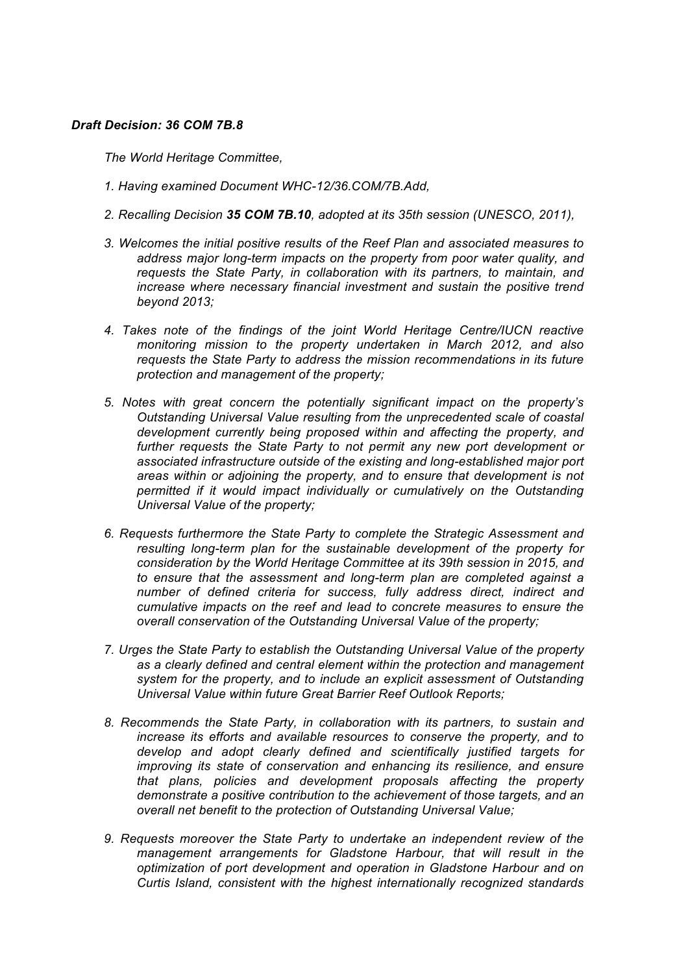## *Draft Decision: 36 COM 7B.8*

*The World Heritage Committee,* 

- *1. Having examined Document WHC-12/36.COM/7B.Add,*
- *2. Recalling Decision 35 COM 7B.10, adopted at its 35th session (UNESCO, 2011),*
- *3. Welcomes the initial positive results of the Reef Plan and associated measures to address major long-term impacts on the property from poor water quality, and requests the State Party, in collaboration with its partners, to maintain, and increase where necessary financial investment and sustain the positive trend beyond 2013;*
- *4. Takes note of the findings of the joint World Heritage Centre/IUCN reactive monitoring mission to the property undertaken in March 2012, and also requests the State Party to address the mission recommendations in its future protection and management of the property;*
- *5. Notes with great concern the potentially significant impact on the property's Outstanding Universal Value resulting from the unprecedented scale of coastal development currently being proposed within and affecting the property, and*  further requests the State Party to not permit any new port development or *associated infrastructure outside of the existing and long-established major port areas within or adjoining the property, and to ensure that development is not permitted if it would impact individually or cumulatively on the Outstanding Universal Value of the property;*
- *6. Requests furthermore the State Party to complete the Strategic Assessment and resulting long-term plan for the sustainable development of the property for consideration by the World Heritage Committee at its 39th session in 2015, and to ensure that the assessment and long-term plan are completed against a number of defined criteria for success, fully address direct, indirect and cumulative impacts on the reef and lead to concrete measures to ensure the overall conservation of the Outstanding Universal Value of the property;*
- *7. Urges the State Party to establish the Outstanding Universal Value of the property as a clearly defined and central element within the protection and management system for the property, and to include an explicit assessment of Outstanding Universal Value within future Great Barrier Reef Outlook Reports;*
- *8. Recommends the State Party, in collaboration with its partners, to sustain and increase its efforts and available resources to conserve the property, and to develop and adopt clearly defined and scientifically justified targets for improving its state of conservation and enhancing its resilience, and ensure that plans, policies and development proposals affecting the property demonstrate a positive contribution to the achievement of those targets, and an overall net benefit to the protection of Outstanding Universal Value;*
- *9. Requests moreover the State Party to undertake an independent review of the management arrangements for Gladstone Harbour, that will result in the optimization of port development and operation in Gladstone Harbour and on Curtis Island, consistent with the highest internationally recognized standards*